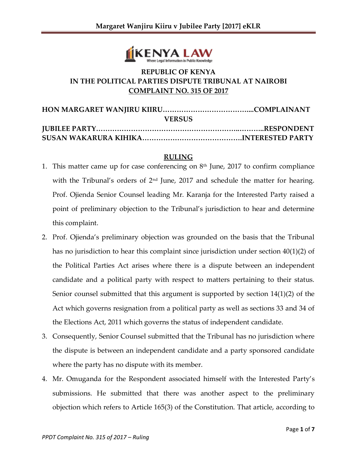

## **REPUBLIC OF KENYA IN THE POLITICAL PARTIES DISPUTE TRIBUNAL AT NAIROBI COMPLAINT NO. 315 OF 2017**

| <b>VERSUS</b> |  |
|---------------|--|
|               |  |
|               |  |

## **RULING**

- 1. This matter came up for case conferencing on  $8<sup>th</sup>$  June, 2017 to confirm compliance with the Tribunal's orders of  $2<sup>nd</sup>$  June, 2017 and schedule the matter for hearing. Prof. Ojienda Senior Counsel leading Mr. Karanja for the Interested Party raised a point of preliminary objection to the Tribunal's jurisdiction to hear and determine this complaint.
- 2. Prof. Ojienda's preliminary objection was grounded on the basis that the Tribunal has no jurisdiction to hear this complaint since jurisdiction under section 40(1)(2) of the Political Parties Act arises where there is a dispute between an independent candidate and a political party with respect to matters pertaining to their status. Senior counsel submitted that this argument is supported by section 14(1)(2) of the Act which governs resignation from a political party as well as sections 33 and 34 of the Elections Act, 2011 which governs the status of independent candidate.
- 3. Consequently, Senior Counsel submitted that the Tribunal has no jurisdiction where the dispute is between an independent candidate and a party sponsored candidate where the party has no dispute with its member.
- 4. Mr. Omuganda for the Respondent associated himself with the Interested Party's submissions. He submitted that there was another aspect to the preliminary objection which refers to Article 165(3) of the Constitution. That article, according to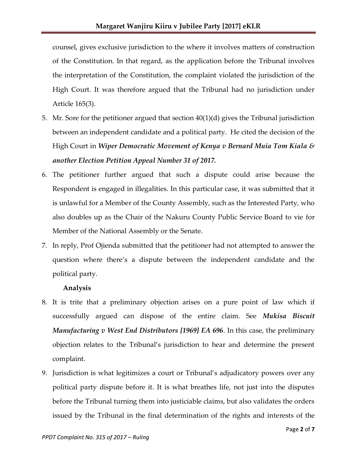counsel, gives exclusive jurisdiction to the where it involves matters of construction of the Constitution. In that regard, as the application before the Tribunal involves the interpretation of the Constitution, the complaint violated the jurisdiction of the High Court. It was therefore argued that the Tribunal had no jurisdiction under Article 165(3).

- 5. Mr. Sore for the petitioner argued that section 40(1)(d) gives the Tribunal jurisdiction between an independent candidate and a political party. He cited the decision of the High Court in *Wiper Democratic Movement of Kenya v Bernard Muia Tom Kiala & another Election Petition Appeal Number 31 of 2017.*
- 6. The petitioner further argued that such a dispute could arise because the Respondent is engaged in illegalities. In this particular case, it was submitted that it is unlawful for a Member of the County Assembly, such as the Interested Party, who also doubles up as the Chair of the Nakuru County Public Service Board to vie for Member of the National Assembly or the Senate.
- 7. In reply, Prof Ojienda submitted that the petitioner had not attempted to answer the question where there's a dispute between the independent candidate and the political party.

## **Analysis**

- 8. It is trite that a preliminary objection arises on a pure point of law which if successfully argued can dispose of the entire claim. See *Mukisa Biscuit Manufacturing v West End Distributors [1969] EA 696*. In this case, the preliminary objection relates to the Tribunal's jurisdiction to hear and determine the present complaint.
- 9. Jurisdiction is what legitimizes a court or Tribunal's adjudicatory powers over any political party dispute before it. It is what breathes life, not just into the disputes before the Tribunal turning them into justiciable claims, but also validates the orders issued by the Tribunal in the final determination of the rights and interests of the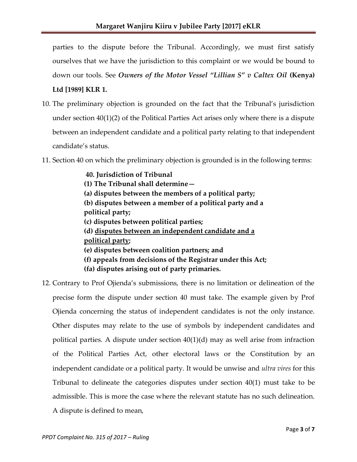parties to the dispute before the Tribunal. Accordingly, we must first satisfy ourselves that we have the jurisdiction to this complaint or we would be bound to down our tools. See *Owners of the Motor Vessel "Lillian S" v Caltex Oil* **(Kenya)** 

## **Ltd [1989] KLR 1.**

- 10. The preliminary objection is grounded on the fact that the Tribunal's jurisdiction under section 40(1)(2) of the Political Parties Act arises only where there is a dispute between an independent candidate and a political party relating to that independent candidate's status.
- 11. Section 40 on which the preliminary objection is grounded is in the following te**r**ms:

**40. Jurisdiction of Tribunal (1) The Tribunal shall determine— (a) disputes between the members of a political party; (b) disputes between a member of a political party and a political party; (c) disputes between political parties; (d) disputes between an independent candidate and a political party; (e) disputes between coalition partners; and (f) appeals from decisions of the Registrar under this Act; (fa) disputes arising out of party primaries.**

12. Contrary to Prof Ojienda's submissions, there is no limitation or delineation of the precise form the dispute under section 40 must take. The example given by Prof Ojienda concerning the status of independent candidates is not the only instance. Other disputes may relate to the use of symbols by independent candidates and political parties. A dispute under section  $40(1)(d)$  may as well arise from infraction of the Political Parties Act, other electoral laws or the Constitution by an independent candidate or a political party. It would be unwise and *ultra vires* for this Tribunal to delineate the categories disputes under section 40(1) must take to be admissible. This is more the case where the relevant statute has no such delineation. A dispute is defined to mean,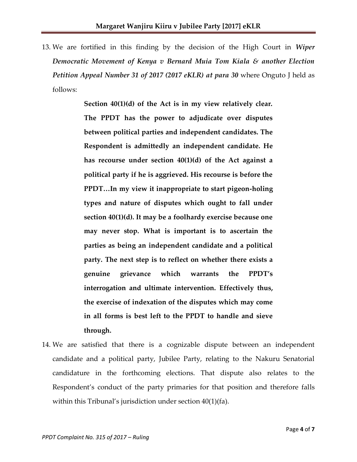13. We are fortified in this finding by the decision of the High Court in *Wiper Democratic Movement of Kenya v Bernard Muia Tom Kiala & another Election Petition Appeal Number 31 of 2017 (2017 eKLR) at para 30* where Onguto J held as follows:

> **Section 40(1)(d) of the Act is in my view relatively clear. The PPDT has the power to adjudicate over disputes between political parties and independent candidates. The Respondent is admittedly an independent candidate. He has recourse under section 40(1)(d) of the Act against a political party if he is aggrieved. His recourse is before the PPDT…In my view it inappropriate to start pigeon-holing types and nature of disputes which ought to fall under section 40(1)(d). It may be a foolhardy exercise because one may never stop. What is important is to ascertain the parties as being an independent candidate and a political party. The next step is to reflect on whether there exists a genuine grievance which warrants the PPDT's interrogation and ultimate intervention. Effectively thus, the exercise of indexation of the disputes which may come in all forms is best left to the PPDT to handle and sieve through.**

14. We are satisfied that there is a cognizable dispute between an independent candidate and a political party, Jubilee Party, relating to the Nakuru Senatorial candidature in the forthcoming elections. That dispute also relates to the Respondent's conduct of the party primaries for that position and therefore falls within this Tribunal's jurisdiction under section 40(1)(fa).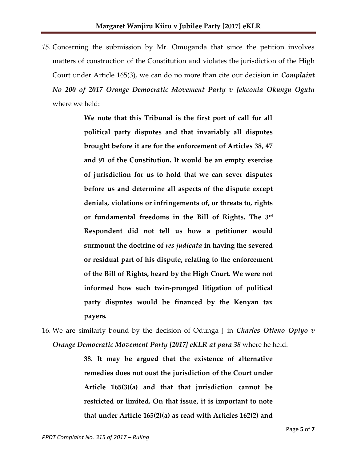*15.* Concerning the submission by Mr. Omuganda that since the petition involves matters of construction of the Constitution and violates the jurisdiction of the High Court under Article 165(3), we can do no more than cite our decision in *Complaint No 200 of 2017 Orange Democratic Movement Party v Jekconia Okungu Ogutu* where we held:

> **We note that this Tribunal is the first port of call for all political party disputes and that invariably all disputes brought before it are for the enforcement of Articles 38, 47 and 91 of the Constitution. It would be an empty exercise of jurisdiction for us to hold that we can sever disputes before us and determine all aspects of the dispute except denials, violations or infringements of, or threats to, rights or fundamental freedoms in the Bill of Rights. The 3rd Respondent did not tell us how a petitioner would surmount the doctrine of** *res judicata* **in having the severed or residual part of his dispute, relating to the enforcement of the Bill of Rights, heard by the High Court. We were not informed how such twin-pronged litigation of political party disputes would be financed by the Kenyan tax payers.**

16. We are similarly bound by the decision of Odunga J in *Charles Otieno Opiyo v Orange Democratic Movement Party [2017] eKLR at para 38* where he held:

> **38. It may be argued that the existence of alternative remedies does not oust the jurisdiction of the Court under Article 165(3)(a) and that that jurisdiction cannot be restricted or limited. On that issue, it is important to note that under Article 165(2)(a) as read with Articles 162(2) and**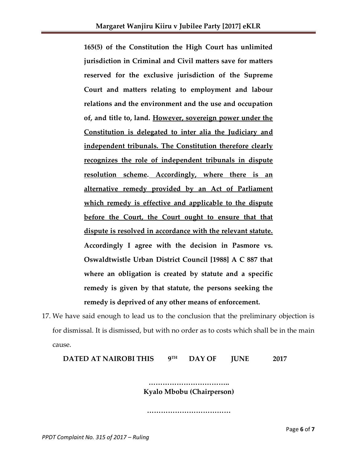**165(5) of the Constitution the High Court has unlimited jurisdiction in Criminal and Civil matters save for matters reserved for the exclusive jurisdiction of the Supreme Court and matters relating to employment and labour relations and the environment and the use and occupation of, and title to, land. However, sovereign power under the Constitution is delegated to inter alia the Judiciary and independent tribunals. The Constitution therefore clearly recognizes the role of independent tribunals in dispute resolution scheme. Accordingly, where there is an alternative remedy provided by an Act of Parliament which remedy is effective and applicable to the dispute before the Court, the Court ought to ensure that that dispute is resolved in accordance with the relevant statute. Accordingly I agree with the decision in Pasmore vs. Oswaldtwistle Urban District Council [1988] A C 887 that where an obligation is created by statute and a specific remedy is given by that statute, the persons seeking the remedy is deprived of any other means of enforcement.**

17. We have said enough to lead us to the conclusion that the preliminary objection is for dismissal. It is dismissed, but with no order as to costs which shall be in the main cause.

**DATED AT NAIROBI THIS 9 TH DAY OF JUNE 2017**

> **…………………………….. Kyalo Mbobu (Chairperson)**

**………………………………**